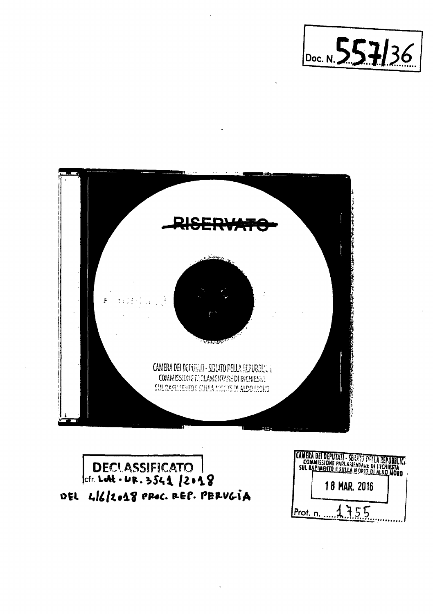



## DECLASSIFICATO |<br>|cfr. Let . UR. 3541 |2018 DEL LI6/2018 PROC. REP. PERVGIA

|                 | LAMERA UEI DEPUTATI - SERATO DELLA REPUBBLICA.<br>COMMISSIONE PARLAMENTARE OF RICHIESTA<br>SUL RAPINENTO E SULLA MORTE DI ALDO MORO |  |
|-----------------|-------------------------------------------------------------------------------------------------------------------------------------|--|
|                 | <b>18 MAR. 2016</b>                                                                                                                 |  |
| IProt. <u>n</u> |                                                                                                                                     |  |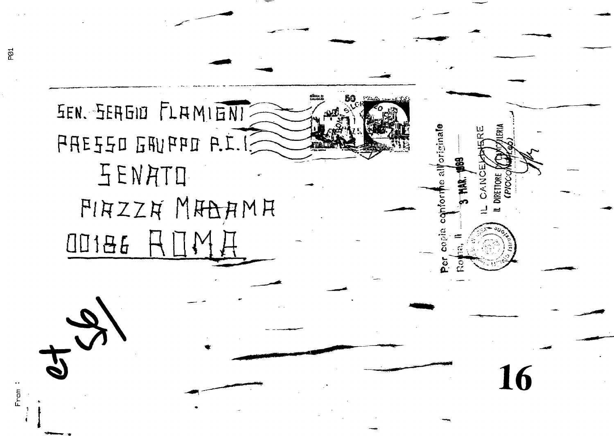EEN. SERGIO FLAMIENI SI.1.9 DRYPH DZZ3AR SENATO FIRZZA MAAAMA  $III186$ 

originale

**HAR.** 

**ETTORE** 

16

ž

PØ1

From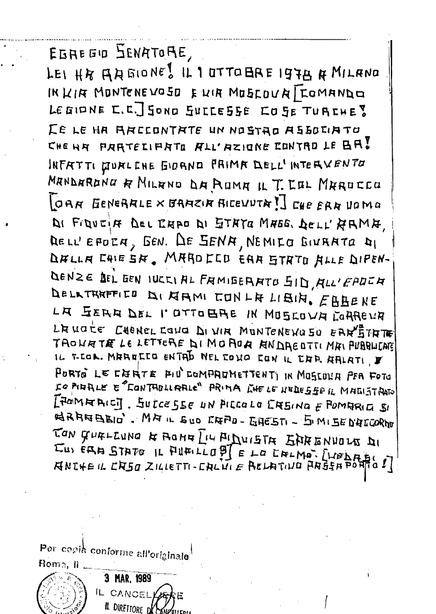EGREE'S SENATORE,

LEI HA AAGIONES IL 1 OTTO BAE 1978 A MILANO IN KIR MONTENEWOSO EWIR MOSCOUR TEOMANDE LEGIONE E.C. SONO SULLESSE COSE TURCHE? LE LE HA ARCCONTATE UN NOSTAO ASSOCIATO CHEAR PARTELIPATO ALL'AZIONE CONTRO LE BRI INFRTTI DURLENE GIORNE FRIMA DELL'INTERVENTO MANDARANA R MILANO DA ROMA IL T. LOL MAROCCO GAR GENERALE X GRAZIA RICEVUTA I] CHE ERR UOMO DI FIQUEIN DEL ENAD DI STATO MASS. DELL'ARMA DELL'EFORA, GEN. DE SENA, NEMILO BIVAATO DI DALLA CHIESA. MAROCCO EAR STRTO ALLE DIPEN-DENZE DEL EEN IUCCIAL FAMIEEAATO SID, ALL'EPOCA DELKTHAFFIED DI KIAMI CONLA LIBIN. EBBENE LA SERA DEL l'OTTOBRE IN MOSCOVA COAREVA L'AUGLE CHONEL CONO DI VIA MONTENEVO SO EARETATE TROUBTE LE LETTERE DI MOROB BNDRECTTI MAI PUBBLICATE IL T-COR. MAREECO ENTAL NEL COMO CON IL CAR AALATI F PORTO LE CHRTE PIU COMPROMETTENTI IN MOSCOLA PER FOTO Le PIRALE E "CONTHOLLARLE" PRIMA LIFE LE NEDESSE IL MADISTRATO [FOMRIAIC]. SULCESSE UN PICCOLO CREINO E POMRRICI SI NAARBELO'. MA IL EUO CAAD-GAESTI - 5 MISE D'ACCORDO JON GURLLUNG & ROME LIU PIDUISTA SARENVOLT DI EUS ÉRA STATO IL FILALLO DI E LO ENLMO. [VELALICI]

Per copià conforme all'originale

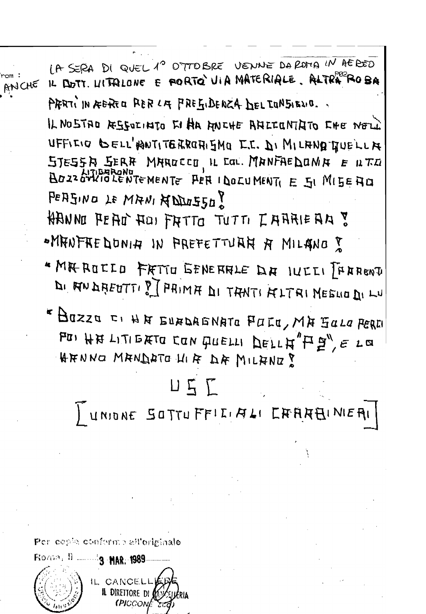LA SERA DI QUEL 1° OTTOBRE VENNE DAROMA IN AEREO IL DOTT. LITTRIONE E PORTO VIA MATERIALE. ALTRAPOZA ANCHE PRRTI IN REREO RER LA FREGIDENZA DEL LONSIENO. IL NOSTAD RESOLINTO EI HA ANCHE ANCEONTATO CHE NOLL UFFICIO GELL'HONTITERROHISMO E.C. DI MILAND QUELLA STESSA SERR MAROCCO, IL COL. MANFAEDOMA E ILTO PERSING LE MANI HODDISSO? **AANNO PEAD HOI FATTO TUTTI I AARIEAA ?** "MANFREDONIA IN PREFETTURH A MILANO? \* MIR ROCCO FRITO GENERALE DA IUCCI [FARENT DI ANDHEUTTI ? PRIMA DI TANTI ALTRI NEGUO DI LU «Bazza ci HN EUADAGNATO FULO, MA GALO PEREI POI HA LITIERTO CON QUELLI DELLA"H9", E LO HENNO MANDATO HIF DE MILANO?  $\Box \subseteq \Gamma$ UNIONE SOTTUFFILIALI EARABINIEAI Per cesse conforme all'originale